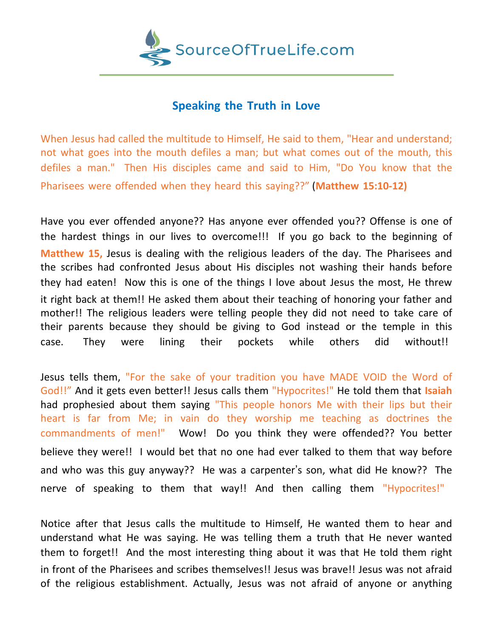

## **Speaking the Truth in Love**

When Jesus had called the multitude to Himself, He said to them, "Hear and understand; not what goes into the mouth defiles a man; but what comes out of the mouth, this defiles a man." Then His disciples came and said to Him, "Do You know that the Pharisees were offended when they heard this saying??" (**Matthew 15:10-12)**

Have you ever offended anyone?? Has anyone ever offended you?? Offense is one of the hardest things in our lives to overcome!!! If you go back to the beginning of **Matthew 15,** Jesus is dealing with the religious leaders of the day. The Pharisees and the scribes had confronted Jesus about His disciples not washing their hands before they had eaten! Now this is one of the things I love about Jesus the most, He threw it right back at them!! He asked them about their teaching of honoring your father and mother!! The religious leaders were telling people they did not need to take care of their parents because they should be giving to God instead or the temple in this case. They were lining their pockets while others did without!!

Jesus tells them, "For the sake of your tradition you have MADE VOID the Word of God!!" And it gets even better!! Jesus calls them "Hypocrites!" He told them that **Isaiah** had prophesied about them saying "This people honors Me with their lips but their heart is far from Me; in vain do they worship me teaching as doctrines the commandments of men!" Wow! Do you think they were offended?? You better believe they were!! I would bet that no one had ever talked to them that way before and who was this guy anyway?? He was a carpenter's son, what did He know?? The nerve of speaking to them that way!! And then calling them "Hypocrites!"

Notice after that Jesus calls the multitude to Himself, He wanted them to hear and understand what He was saying. He was telling them a truth that He never wanted them to forget!! And the most interesting thing about it was that He told them right in front of the Pharisees and scribes themselves!! Jesus was brave!! Jesus was not afraid of the religious establishment. Actually, Jesus was not afraid of anyone or anything